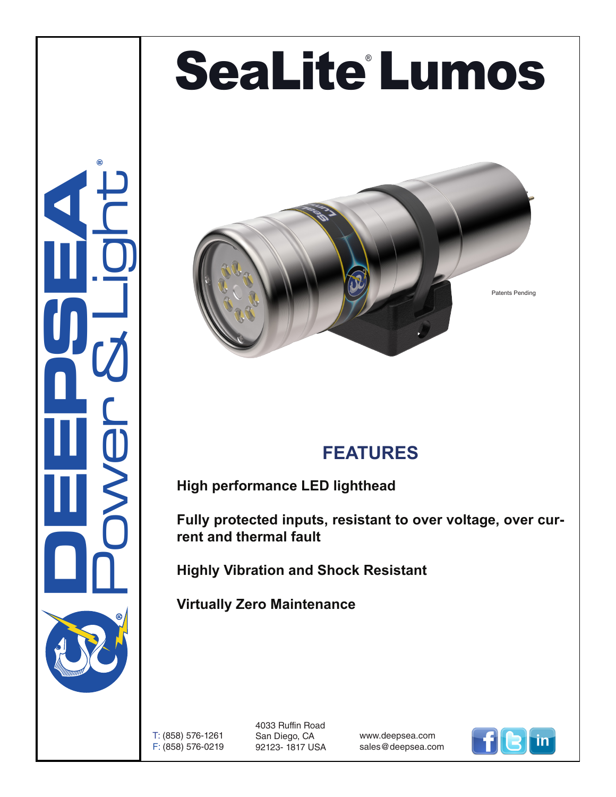## SeaLite'Lumos





## **FEATURES**

**High performance LED lighthead**

**Fully protected inputs, resistant to over voltage, over current and thermal fault**

**Highly Vibration and Shock Resistant**

**Virtually Zero Maintenance** 

T: (858) 576-1261 F: (858) 576-0219 4033 Ruffin Road San Diego, CA 92123- 1817 USA

www.deepsea.com sales@deepsea.com